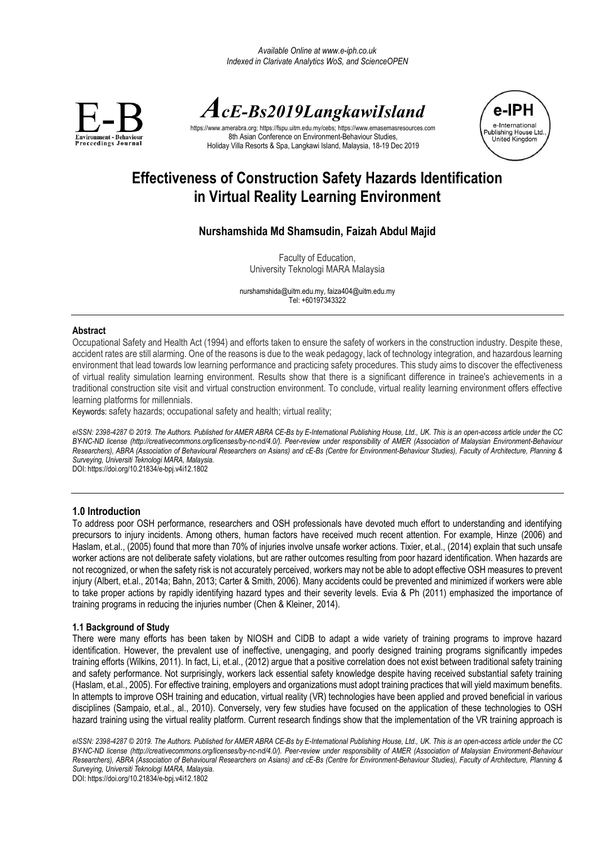

# *AcE-Bs2019LangkawiIsland*

https://www.amerabra.org; https://fspu.uitm.edu.my/cebs[; https://www.emasemasresources.com](https://www.emasemasresources.com/) 8th Asian Conference on Environment-Behaviour Studies Holiday Villa Resorts & Spa, Langkawi Island, Malaysia, 18-19 Dec 2019



# **Effectiveness of Construction Safety Hazards Identification in Virtual Reality Learning Environment**

# **Nurshamshida Md Shamsudin, Faizah Abdul Majid**

Faculty of Education, University Teknologi MARA Malaysia

[nurshamshida@uitm.edu.my,](mailto:nurshamshida@uitm.edu.my) faiza404@uitm.edu.my Tel: +60197343322

#### **Abstract**

Occupational Safety and Health Act (1994) and efforts taken to ensure the safety of workers in the construction industry. Despite these, accident rates are still alarming. One of the reasons is due to the weak pedagogy, lack of technology integration, and hazardous learning environment that lead towards low learning performance and practicing safety procedures. This study aims to discover the effectiveness of virtual reality simulation learning environment. Results show that there is a significant difference in trainee's achievements in a traditional construction site visit and virtual construction environment. To conclude, virtual reality learning environment offers effective learning platforms for millennials.

Keywords: safety hazards; occupational safety and health; virtual reality;

*eISSN: 2398-4287 © 2019. The Authors. Published for AMER ABRA CE-Bs by E-International Publishing House, Ltd., UK. This is an open-access article under the CC BY-NC-ND license (http://creativecommons.org/licenses/by-nc-nd/4.0/). Peer-review under responsibility of AMER (Association of Malaysian Environment-Behaviour Researchers), ABRA (Association of Behavioural Researchers on Asians) and cE-Bs (Centre for Environment-Behaviour Studies), Faculty of Architecture, Planning & Surveying, Universiti Teknologi MARA, Malaysia.*

DOI: https://doi.org/10.21834/e-bpj.v4i12.1802

# **1.0 Introduction**

To address poor OSH performance, researchers and OSH professionals have devoted much effort to understanding and identifying precursors to injury incidents. Among others, human factors have received much recent attention. For example, Hinze (2006) and Haslam, et.al., (2005) found that more than 70% of injuries involve unsafe worker actions. Tixier, et.al., (2014) explain that such unsafe worker actions are not deliberate safety violations, but are rather outcomes resulting from poor hazard identification. When hazards are not recognized, or when the safety risk is not accurately perceived, workers may not be able to adopt effective OSH measures to prevent injury (Albert, et.al., 2014a; Bahn, 2013; Carter & Smith, 2006). Many accidents could be prevented and minimized if workers were able to take proper actions by rapidly identifying hazard types and their severity levels. Evia & Ph (2011) emphasized the importance of training programs in reducing the injuries number (Chen & Kleiner, 2014).

# **1.1 Background of Study**

There were many efforts has been taken by NIOSH and CIDB to adapt a wide variety of training programs to improve hazard identification. However, the prevalent use of ineffective, unengaging, and poorly designed training programs significantly impedes training efforts (Wilkins, 2011). In fact, Li, et.al., (2012) argue that a positive correlation does not exist between traditional safety training and safety performance. Not surprisingly, workers lack essential safety knowledge despite having received substantial safety training (Haslam, et.al., 2005). For effective training, employers and organizations must adopt training practices that will yield maximum benefits. In attempts to improve OSH training and education, virtual reality (VR) technologies have been applied and proved beneficial in various disciplines (Sampaio, et.al., al., 2010). Conversely, very few studies have focused on the application of these technologies to OSH hazard training using the virtual reality platform. Current research findings show that the implementation of the VR training approach is

*eISSN: 2398-4287 © 2019. The Authors. Published for AMER ABRA CE-Bs by E-International Publishing House, Ltd., UK. This is an open-access article under the CC BY-NC-ND license (http://creativecommons.org/licenses/by-nc-nd/4.0/). Peer-review under responsibility of AMER (Association of Malaysian Environment-Behaviour Researchers), ABRA (Association of Behavioural Researchers on Asians) and cE-Bs (Centre for Environment-Behaviour Studies), Faculty of Architecture, Planning & Surveying, Universiti Teknologi MARA, Malaysia.*

DOI: https://doi.org/10.21834/e-bpj.v4i12.1802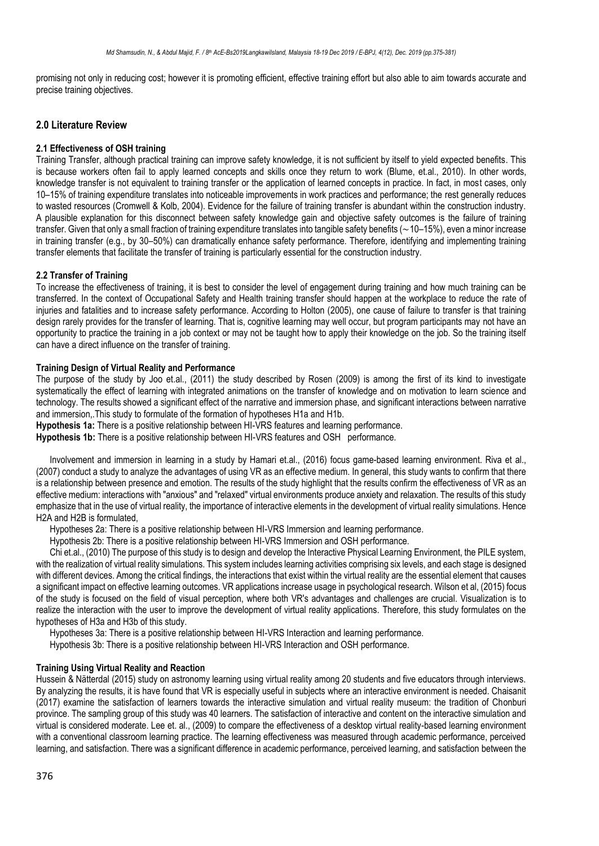promising not only in reducing cost; however it is promoting efficient, effective training effort but also able to aim towards accurate and precise training objectives.

# **2.0 Literature Review**

#### **2.1 Effectiveness of OSH training**

Training Transfer, although practical training can improve safety knowledge, it is not sufficient by itself to yield expected benefits. This is because workers often fail to apply learned concepts and skills once they return to work (Blume, et.al., 2010). In other words, knowledge transfer is not equivalent to training transfer or the application of learned concepts in practice. In fact, in most cases, only 10–15% of training expenditure translates into noticeable improvements in work practices and performance; the rest generally reduces to wasted resources (Cromwell & Kolb, 2004). Evidence for the failure of training transfer is abundant within the construction industry. A plausible explanation for this disconnect between safety knowledge gain and objective safety outcomes is the failure of training transfer. Given that only a small fraction of training expenditure translates into tangible safety benefits (∼10–15%), even a minor increase in training transfer (e.g., by 30–50%) can dramatically enhance safety performance. Therefore, identifying and implementing training transfer elements that facilitate the transfer of training is particularly essential for the construction industry.

# **2.2 Transfer of Training**

To increase the effectiveness of training, it is best to consider the level of engagement during training and how much training can be transferred. In the context of Occupational Safety and Health training transfer should happen at the workplace to reduce the rate of injuries and fatalities and to increase safety performance. According to Holton (2005), one cause of failure to transfer is that training design rarely provides for the transfer of learning. That is, cognitive learning may well occur, but program participants may not have an opportunity to practice the training in a job context or may not be taught how to apply their knowledge on the job. So the training itself can have a direct influence on the transfer of training.

# **Training Design of Virtual Reality and Performance**

The purpose of the study by Joo et.al., (2011) the study described by Rosen (2009) is among the first of its kind to investigate systematically the effect of learning with integrated animations on the transfer of knowledge and on motivation to learn science and technology. The results showed a significant effect of the narrative and immersion phase, and significant interactions between narrative and immersion,.This study to formulate of the formation of hypotheses H1a and H1b.

**Hypothesis 1a:** There is a positive relationship between HI-VRS features and learning performance.

**Hypothesis 1b:** There is a positive relationship between HI-VRS features and OSH performance.

Involvement and immersion in learning in a study by Hamari et.al., (2016) focus game-based learning environment. Riva et al., (2007) conduct a study to analyze the advantages of using VR as an effective medium. In general, this study wants to confirm that there is a relationship between presence and emotion. The results of the study highlight that the results confirm the effectiveness of VR as an effective medium: interactions with "anxious" and "relaxed" virtual environments produce anxiety and relaxation. The results of this study emphasize that in the use of virtual reality, the importance of interactive elements in the development of virtual reality simulations. Hence H2A and H2B is formulated,

Hypotheses 2a: There is a positive relationship between HI-VRS Immersion and learning performance.

Hypothesis 2b: There is a positive relationship between HI-VRS Immersion and OSH performance.

Chi et.al., (2010) The purpose of this study is to design and develop the Interactive Physical Learning Environment, the PILE system, with the realization of virtual reality simulations. This system includes learning activities comprising six levels, and each stage is designed with different devices. Among the critical findings, the interactions that exist within the virtual reality are the essential element that causes a significant impact on effective learning outcomes. VR applications increase usage in psychological research. Wilson et al, (2015) focus of the study is focused on the field of visual perception, where both VR's advantages and challenges are crucial. Visualization is to realize the interaction with the user to improve the development of virtual reality applications. Therefore, this study formulates on the hypotheses of H3a and H3b of this study.

Hypotheses 3a: There is a positive relationship between HI-VRS Interaction and learning performance.

Hypothesis 3b: There is a positive relationship between HI-VRS Interaction and OSH performance.

#### **Training Using Virtual Reality and Reaction**

Hussein & Nätterdal (2015) study on astronomy learning using virtual reality among 20 students and five educators through interviews. By analyzing the results, it is have found that VR is especially useful in subjects where an interactive environment is needed. Chaisanit (2017) examine the satisfaction of learners towards the interactive simulation and virtual reality museum: the tradition of Chonburi province. The sampling group of this study was 40 learners. The satisfaction of interactive and content on the interactive simulation and virtual is considered moderate. Lee et. al., (2009) to compare the effectiveness of a desktop virtual reality-based learning environment with a conventional classroom learning practice. The learning effectiveness was measured through academic performance, perceived learning, and satisfaction. There was a significant difference in academic performance, perceived learning, and satisfaction between the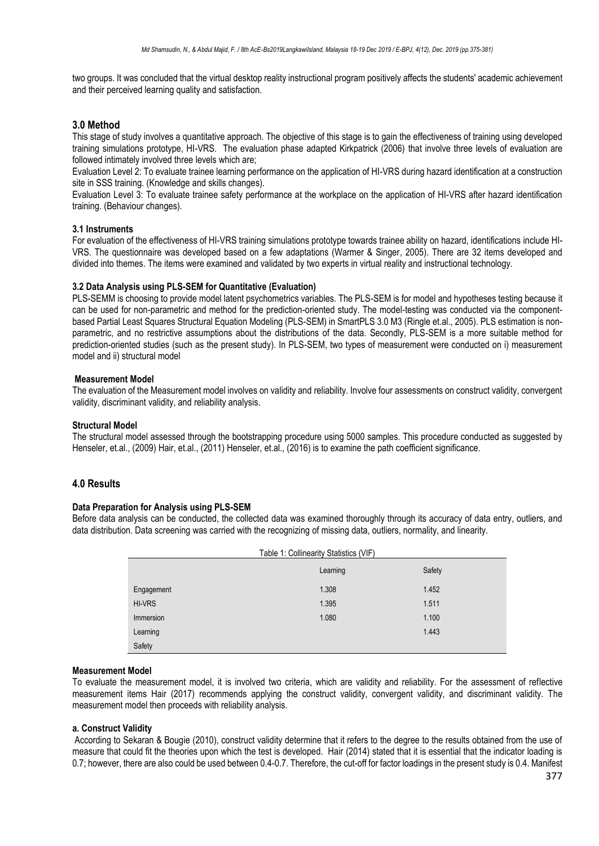two groups. It was concluded that the virtual desktop reality instructional program positively affects the students' academic achievement and their perceived learning quality and satisfaction.

## **3.0 Method**

This stage of study involves a quantitative approach. The objective of this stage is to gain the effectiveness of training using developed training simulations prototype, HI-VRS. The evaluation phase adapted Kirkpatrick (2006) that involve three levels of evaluation are followed intimately involved three levels which are;

Evaluation Level 2: To evaluate trainee learning performance on the application of HI-VRS during hazard identification at a construction site in SSS training. (Knowledge and skills changes).

Evaluation Level 3: To evaluate trainee safety performance at the workplace on the application of HI-VRS after hazard identification training. (Behaviour changes).

#### **3.1 Instruments**

For evaluation of the effectiveness of HI-VRS training simulations prototype towards trainee ability on hazard, identifications include HI-VRS. The questionnaire was developed based on a few adaptations (Warmer & Singer, 2005). There are 32 items developed and divided into themes. The items were examined and validated by two experts in virtual reality and instructional technology.

#### **3.2 Data Analysis using PLS-SEM for Quantitative (Evaluation)**

PLS-SEMM is choosing to provide model latent psychometrics variables. The PLS-SEM is for model and hypotheses testing because it can be used for non-parametric and method for the prediction-oriented study. The model-testing was conducted via the componentbased Partial Least Squares Structural Equation Modeling (PLS-SEM) in SmartPLS 3.0 M3 (Ringle et.al., 2005). PLS estimation is nonparametric, and no restrictive assumptions about the distributions of the data. Secondly, PLS-SEM is a more suitable method for prediction-oriented studies (such as the present study). In PLS-SEM, two types of measurement were conducted on i) measurement model and ii) structural model

#### **Measurement Model**

The evaluation of the Measurement model involves on validity and reliability. Involve four assessments on construct validity, convergent validity, discriminant validity, and reliability analysis.

#### **Structural Model**

The structural model assessed through the bootstrapping procedure using 5000 samples. This procedure conducted as suggested by Henseler, et.al., (2009) Hair, et.al., (2011) Henseler, et.al., (2016) is to examine the path coefficient significance.

# **4.0 Results**

#### **Data Preparation for Analysis using PLS-SEM**

Before data analysis can be conducted, the collected data was examined thoroughly through its accuracy of data entry, outliers, and data distribution. Data screening was carried with the recognizing of missing data, outliers, normality, and linearity.

| Table 1: Collinearity Statistics (VIF) |          |        |  |  |
|----------------------------------------|----------|--------|--|--|
|                                        | Learning | Safety |  |  |
| Engagement                             | 1.308    | 1.452  |  |  |
| <b>HI-VRS</b>                          | 1.395    | 1.511  |  |  |
| Immersion                              | 1.080    | 1.100  |  |  |
| Learning                               |          | 1.443  |  |  |
| Safety                                 |          |        |  |  |

#### **Measurement Model**

To evaluate the measurement model, it is involved two criteria, which are validity and reliability. For the assessment of reflective measurement items Hair (2017) recommends applying the construct validity, convergent validity, and discriminant validity. The measurement model then proceeds with reliability analysis.

#### **a. Construct Validity**

According to Sekaran & Bougie (2010), construct validity determine that it refers to the degree to the results obtained from the use of measure that could fit the theories upon which the test is developed. Hair (2014) stated that it is essential that the indicator loading is 0.7; however, there are also could be used between 0.4-0.7. Therefore, the cut-off for factor loadings in the present study is 0.4. Manifest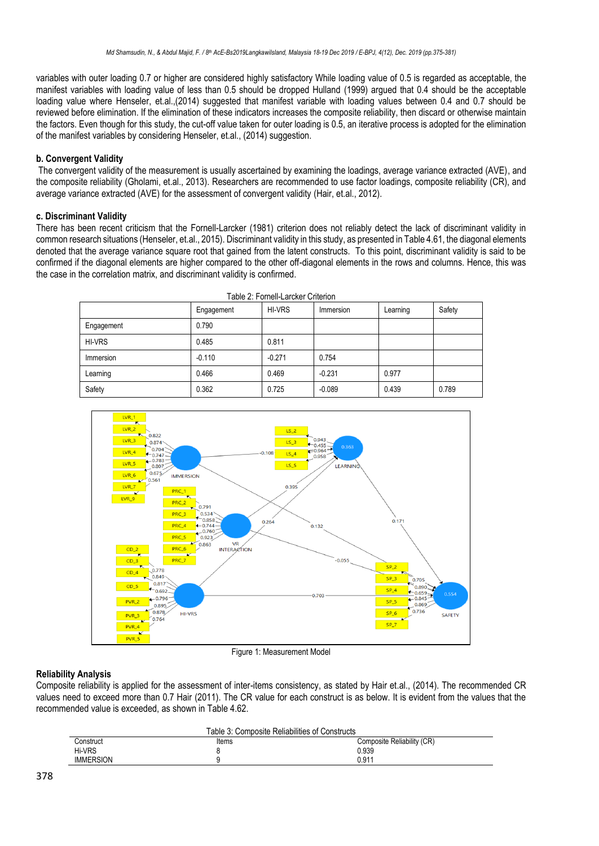variables with outer loading 0.7 or higher are considered highly satisfactory While loading value of 0.5 is regarded as acceptable, the manifest variables with loading value of less than 0.5 should be dropped Hulland (1999) argued that 0.4 should be the acceptable loading value where Henseler, et.al.,(2014) suggested that manifest variable with loading values between 0.4 and 0.7 should be reviewed before elimination. If the elimination of these indicators increases the composite reliability, then discard or otherwise maintain the factors. Even though for this study, the cut-off value taken for outer loading is 0.5, an iterative process is adopted for the elimination of the manifest variables by considering Henseler, et.al., (2014) suggestion.

# **b. Convergent Validity**

The convergent validity of the measurement is usually ascertained by examining the loadings, average variance extracted (AVE), and the composite reliability (Gholami, et.al., 2013). Researchers are recommended to use factor loadings, composite reliability (CR), and average variance extracted (AVE) for the assessment of convergent validity (Hair, et.al., 2012).

# **c. Discriminant Validity**

There has been recent criticism that the Fornell-Larcker (1981) criterion does not reliably detect the lack of discriminant validity in common research situations (Henseler, et.al., 2015). Discriminant validity in this study, as presented in Table 4.61, the diagonal elements denoted that the average variance square root that gained from the latent constructs. To this point, discriminant validity is said to be confirmed if the diagonal elements are higher compared to the other off-diagonal elements in the rows and columns. Hence, this was the case in the correlation matrix, and discriminant validity is confirmed.

|               | Engagement | <b>HI-VRS</b> | Immersion | Learning | Safety |
|---------------|------------|---------------|-----------|----------|--------|
| Engagement    | 0.790      |               |           |          |        |
| <b>HI-VRS</b> | 0.485      | 0.811         |           |          |        |
| Immersion     | $-0.110$   | $-0.271$      | 0.754     |          |        |
| Learning      | 0.466      | 0.469         | $-0.231$  | 0.977    |        |
| Safety        | 0.362      | 0.725         | $-0.089$  | 0.439    | 0.789  |



Figure 1: Measurement Model

# **Reliability Analysis**

Composite reliability is applied for the assessment of inter-items consistency, as stated by Hair et.al., (2014). The recommended CR values need to exceed more than 0.7 Hair (2011). The CR value for each construct is as below. It is evident from the values that the recommended value is exceeded, as shown in Table 4.62.

| Table 3: Composite Reliabilities of Constructs |       |                            |  |  |
|------------------------------------------------|-------|----------------------------|--|--|
| Construct                                      | Items | Composite Reliability (CR) |  |  |
| Hi-VRS                                         |       | 0.939                      |  |  |
| <b>IMMERSION</b>                               |       | 0.911                      |  |  |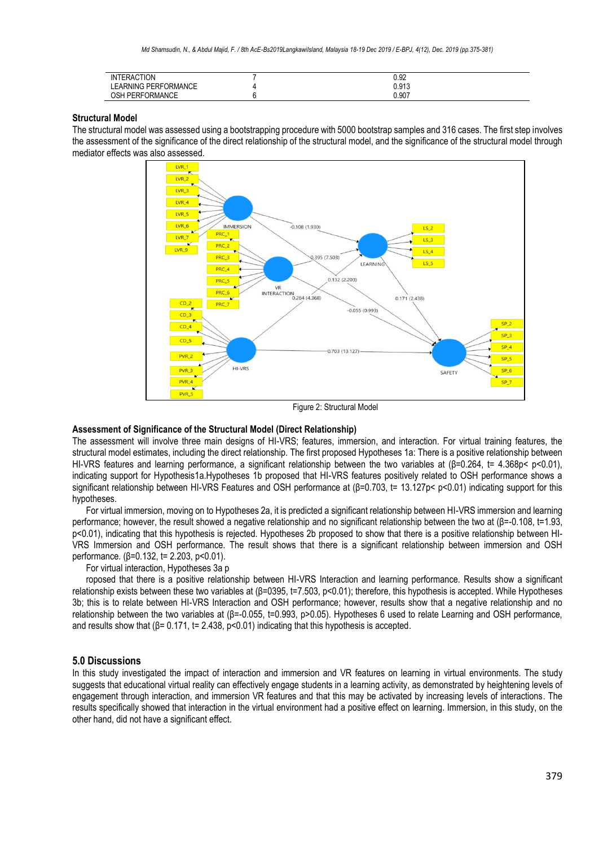| <b>INTERACTION</b>     | 0.92  |  |
|------------------------|-------|--|
|                        |       |  |
| LEARNING PERFORMANCE   | 0.913 |  |
|                        |       |  |
| <b>OSH PERFORMANCE</b> | 0.907 |  |

#### **Structural Model**

The structural model was assessed using a bootstrapping procedure with 5000 bootstrap samples and 316 cases. The first step involves the assessment of the significance of the direct relationship of the structural model, and the significance of the structural model through mediator effects was also assessed.



Figure 2: Structural Model

#### **Assessment of Significance of the Structural Model (Direct Relationship)**

The assessment will involve three main designs of HI-VRS; features, immersion, and interaction. For virtual training features, the structural model estimates, including the direct relationship. The first proposed Hypotheses 1a: There is a positive relationship between HI-VRS features and learning performance, a significant relationship between the two variables at (β=0.264, t= 4.368p< p<0.01), indicating support for Hypothesis1a.Hypotheses 1b proposed that HI-VRS features positively related to OSH performance shows a significant relationship between HI-VRS Features and OSH performance at (β=0.703, t= 13.127p< p<0.01) indicating support for this hypotheses.

For virtual immersion, moving on to Hypotheses 2a, it is predicted a significant relationship between HI-VRS immersion and learning performance; however, the result showed a negative relationship and no significant relationship between the two at (β=-0.108, t=1.93, p<0.01), indicating that this hypothesis is rejected. Hypotheses 2b proposed to show that there is a positive relationship between HI-VRS Immersion and OSH performance. The result shows that there is a significant relationship between immersion and OSH performance. (β=0.132, t= 2.203, p<0.01).

For virtual interaction, Hypotheses 3a p

roposed that there is a positive relationship between HI-VRS Interaction and learning performance. Results show a significant relationship exists between these two variables at (β=0395, t=7.503, p<0.01); therefore, this hypothesis is accepted. While Hypotheses 3b; this is to relate between HI-VRS Interaction and OSH performance; however, results show that a negative relationship and no relationship between the two variables at (β=-0.055, t=0.993, p>0.05). Hypotheses 6 used to relate Learning and OSH performance, and results show that  $(\beta = 0.171, t = 2.438, p < 0.01)$  indicating that this hypothesis is accepted.

## **5.0 Discussions**

In this study investigated the impact of interaction and immersion and VR features on learning in virtual environments. The study suggests that educational virtual reality can effectively engage students in a learning activity, as demonstrated by heightening levels of engagement through interaction, and immersion VR features and that this may be activated by increasing levels of interactions. The results specifically showed that interaction in the virtual environment had a positive effect on learning. Immersion, in this study, on the other hand, did not have a significant effect.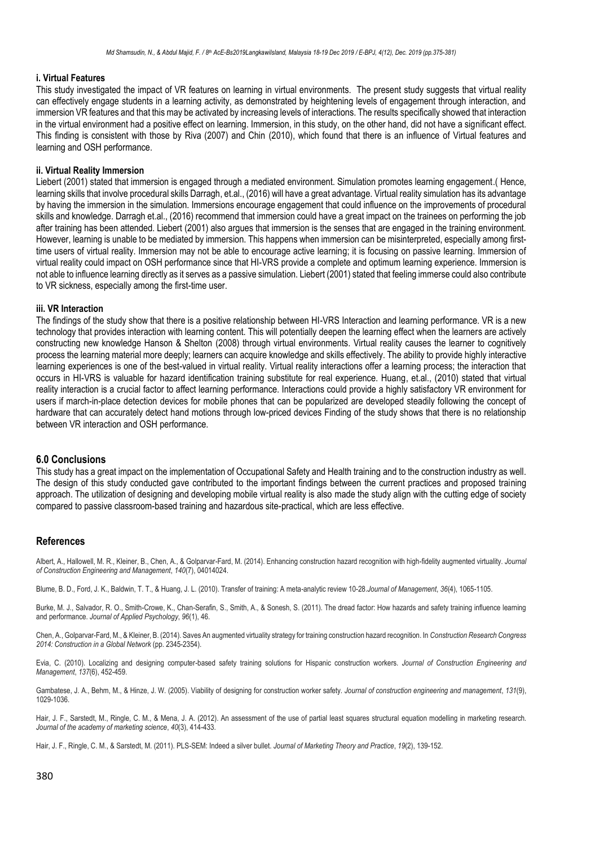#### **i. Virtual Features**

This study investigated the impact of VR features on learning in virtual environments. The present study suggests that virtual reality can effectively engage students in a learning activity, as demonstrated by heightening levels of engagement through interaction, and immersion VR features and that this may be activated by increasing levels of interactions. The results specifically showed that interaction in the virtual environment had a positive effect on learning. Immersion, in this study, on the other hand, did not have a significant effect. This finding is consistent with those by Riva (2007) and Chin (2010), which found that there is an influence of Virtual features and learning and OSH performance.

# **ii. Virtual Reality Immersion**

Liebert (2001) stated that immersion is engaged through a mediated environment. Simulation promotes learning engagement.( Hence, learning skills that involve procedural skills Darragh, et.al., (2016) will have a great advantage. Virtual reality simulation has its advantage by having the immersion in the simulation. Immersions encourage engagement that could influence on the improvements of procedural skills and knowledge. Darragh et.al., (2016) recommend that immersion could have a great impact on the trainees on performing the job after training has been attended. Liebert (2001) also argues that immersion is the senses that are engaged in the training environment. However, learning is unable to be mediated by immersion. This happens when immersion can be misinterpreted, especially among firsttime users of virtual reality. Immersion may not be able to encourage active learning; it is focusing on passive learning. Immersion of virtual reality could impact on OSH performance since that HI-VRS provide a complete and optimum learning experience. Immersion is not able to influence learning directly as it serves as a passive simulation. Liebert (2001) stated that feeling immerse could also contribute to VR sickness, especially among the first-time user.

#### **iii. VR Interaction**

The findings of the study show that there is a positive relationship between HI-VRS Interaction and learning performance. VR is a new technology that provides interaction with learning content. This will potentially deepen the learning effect when the learners are actively constructing new knowledge Hanson & Shelton (2008) through virtual environments. Virtual reality causes the learner to cognitively process the learning material more deeply; learners can acquire knowledge and skills effectively. The ability to provide highly interactive learning experiences is one of the best-valued in virtual reality. Virtual reality interactions offer a learning process; the interaction that occurs in HI-VRS is valuable for hazard identification training substitute for real experience. Huang, et.al., (2010) stated that virtual reality interaction is a crucial factor to affect learning performance. Interactions could provide a highly satisfactory VR environment for users if march-in-place detection devices for mobile phones that can be popularized are developed steadily following the concept of hardware that can accurately detect hand motions through low-priced devices Finding of the study shows that there is no relationship between VR interaction and OSH performance.

#### **6.0 Conclusions**

This study has a great impact on the implementation of Occupational Safety and Health training and to the construction industry as well. The design of this study conducted gave contributed to the important findings between the current practices and proposed training approach. The utilization of designing and developing mobile virtual reality is also made the study align with the cutting edge of society compared to passive classroom-based training and hazardous site-practical, which are less effective.

#### **References**

Albert, A., Hallowell, M. R., Kleiner, B., Chen, A., & Golparvar-Fard, M. (2014). Enhancing construction hazard recognition with high-fidelity augmented virtuality. *Journal of Construction Engineering and Management*, *140*(7), 04014024.

Blume, B. D., Ford, J. K., Baldwin, T. T., & Huang, J. L. (2010). Transfer of training: A meta-analytic review 10-28.*Journal of Management*, *36*(4), 1065-1105.

Burke, M. J., Salvador, R. O., Smith-Crowe, K., Chan-Serafin, S., Smith, A., & Sonesh, S. (2011). The dread factor: How hazards and safety training influence learning and performance. *Journal of Applied Psychology*, *96*(1), 46.

Chen, A., Golparvar-Fard, M., & Kleiner, B. (2014). Saves An augmented virtuality strategy for training construction hazard recognition. In *Construction Research Congress 2014: Construction in a Global Network* (pp. 2345-2354).

Evia, C. (2010). Localizing and designing computer-based safety training solutions for Hispanic construction workers. *Journal of Construction Engineering and Management*, *137*(6), 452-459.

Gambatese, J. A., Behm, M., & Hinze, J. W. (2005). Viability of designing for construction worker safety. *Journal of construction engineering and management*, *131*(9), 1029-1036.

Hair, J. F., Sarstedt, M., Ringle, C. M., & Mena, J. A. (2012). An assessment of the use of partial least squares structural equation modelling in marketing research. *Journal of the academy of marketing science*, *40*(3), 414-433.

Hair, J. F., Ringle, C. M., & Sarstedt, M. (2011). PLS-SEM: Indeed a silver bullet. *Journal of Marketing Theory and Practice*, *19*(2), 139-152.